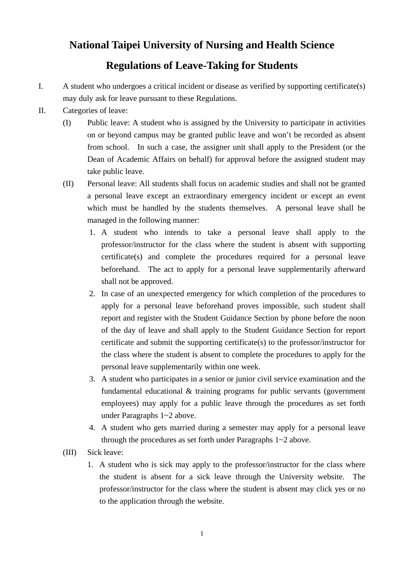## **National Taipei University of Nursing and Health Science**

## **Regulations of Leave-Taking for Students**

- I. A student who undergoes a critical incident or disease as verified by supporting certificate(s) may duly ask for leave pursuant to these Regulations.
- II. Categories of leave:
	- (I) Public leave: A student who is assigned by the University to participate in activities on or beyond campus may be granted public leave and won't be recorded as absent from school. In such a case, the assigner unit shall apply to the President (or the Dean of Academic Affairs on behalf) for approval before the assigned student may take public leave.
	- (II) Personal leave: All students shall focus on academic studies and shall not be granted a personal leave except an extraordinary emergency incident or except an event which must be handled by the students themselves. A personal leave shall be managed in the following manner:
		- 1. A student who intends to take a personal leave shall apply to the professor/instructor for the class where the student is absent with supporting certificate(s) and complete the procedures required for a personal leave beforehand. The act to apply for a personal leave supplementarily afterward shall not be approved.
		- 2. In case of an unexpected emergency for which completion of the procedures to apply for a personal leave beforehand proves impossible, such student shall report and register with the Student Guidance Section by phone before the noon of the day of leave and shall apply to the Student Guidance Section for report certificate and submit the supporting certificate(s) to the professor/instructor for the class where the student is absent to complete the procedures to apply for the personal leave supplementarily within one week.
		- 3. A student who participates in a senior or junior civil service examination and the fundamental educational & training programs for public servants (government employees) may apply for a public leave through the procedures as set forth under Paragraphs 1~2 above.
		- 4. A student who gets married during a semester may apply for a personal leave through the procedures as set forth under Paragraphs 1~2 above.
	- (III) Sick leave:
		- 1. A student who is sick may apply to the professor/instructor for the class where the student is absent for a sick leave through the University website. The professor/instructor for the class where the student is absent may click yes or no to the application through the website.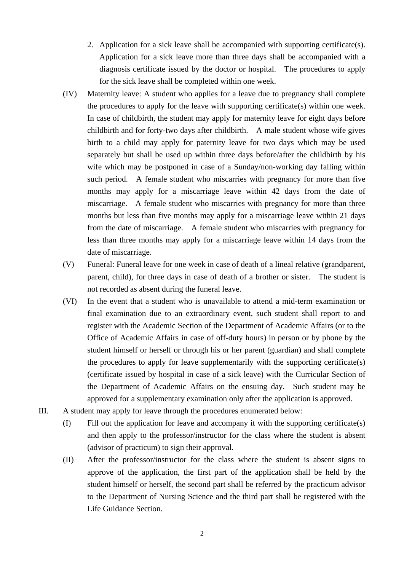- 2. Application for a sick leave shall be accompanied with supporting certificate(s). Application for a sick leave more than three days shall be accompanied with a diagnosis certificate issued by the doctor or hospital. The procedures to apply for the sick leave shall be completed within one week.
- (IV) Maternity leave: A student who applies for a leave due to pregnancy shall complete the procedures to apply for the leave with supporting certificate(s) within one week. In case of childbirth, the student may apply for maternity leave for eight days before childbirth and for forty-two days after childbirth. A male student whose wife gives birth to a child may apply for paternity leave for two days which may be used separately but shall be used up within three days before/after the childbirth by his wife which may be postponed in case of a Sunday/non-working day falling within such period. A female student who miscarries with pregnancy for more than five months may apply for a miscarriage leave within 42 days from the date of miscarriage. A female student who miscarries with pregnancy for more than three months but less than five months may apply for a miscarriage leave within 21 days from the date of miscarriage. A female student who miscarries with pregnancy for less than three months may apply for a miscarriage leave within 14 days from the date of miscarriage.
- (V) Funeral: Funeral leave for one week in case of death of a lineal relative (grandparent, parent, child), for three days in case of death of a brother or sister. The student is not recorded as absent during the funeral leave.
- (VI) In the event that a student who is unavailable to attend a mid-term examination or final examination due to an extraordinary event, such student shall report to and register with the Academic Section of the Department of Academic Affairs (or to the Office of Academic Affairs in case of off-duty hours) in person or by phone by the student himself or herself or through his or her parent (guardian) and shall complete the procedures to apply for leave supplementarily with the supporting certificate(s) (certificate issued by hospital in case of a sick leave) with the Curricular Section of the Department of Academic Affairs on the ensuing day. Such student may be approved for a supplementary examination only after the application is approved.
- III. A student may apply for leave through the procedures enumerated below:
	- (I) Fill out the application for leave and accompany it with the supporting certificate(s) and then apply to the professor/instructor for the class where the student is absent (advisor of practicum) to sign their approval.
	- (II) After the professor/instructor for the class where the student is absent signs to approve of the application, the first part of the application shall be held by the student himself or herself, the second part shall be referred by the practicum advisor to the Department of Nursing Science and the third part shall be registered with the Life Guidance Section.